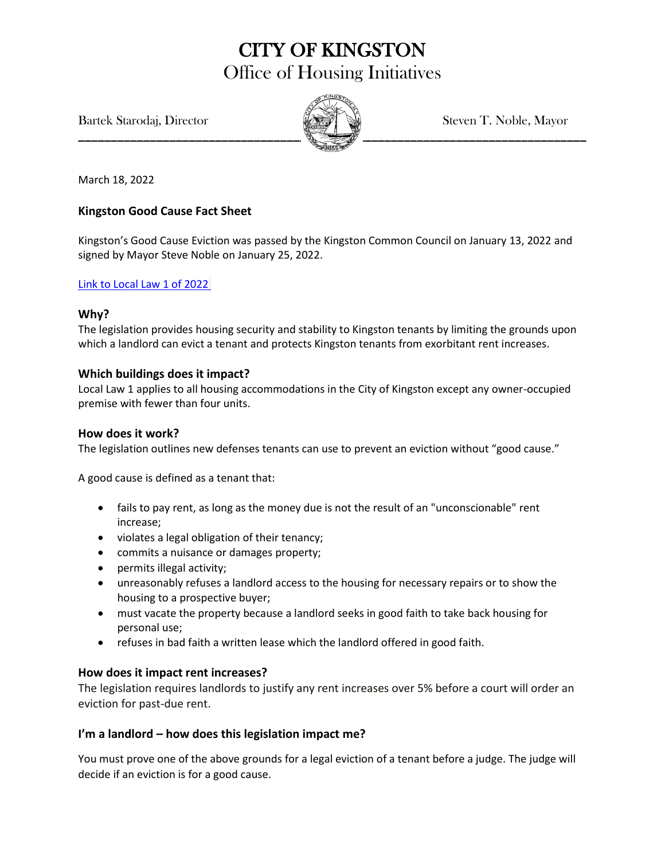# CITY OF KINGSTON Office of Housing Initiatives

Bartek Starodaj, Director Steven T. Noble, Mayor



March 18, 2022

### **Kingston Good Cause Fact Sheet**

Kingston's Good Cause Eviction was passed by the Kingston Common Council on January 13, 2022 and signed by Mayor Steve Noble on January 25, 2022.

#### [Link to Local Law 1 of 2022](https://kingston-ny.gov/filestorage/8399/10476/11808/36541/49250/LOCAL_LAW_1_OF_2022_%282%29.pdf)

#### **Why?**

The legislation provides housing security and stability to Kingston tenants by limiting the grounds upon which a landlord can evict a tenant and protects Kingston tenants from exorbitant rent increases.

#### **Which buildings does it impact?**

Local Law 1 applies to all housing accommodations in the City of Kingston except any owner-occupied premise with fewer than four units.

#### **How does it work?**

The legislation outlines new defenses tenants can use to prevent an eviction without "good cause."

A good cause is defined as a tenant that:

- fails to pay rent, as long as the money due is not the result of an "unconscionable" rent increase;
- violates a legal obligation of their tenancy;
- commits a nuisance or damages property;
- permits illegal activity;
- unreasonably refuses a landlord access to the housing for necessary repairs or to show the housing to a prospective buyer;
- must vacate the property because a landlord seeks in good faith to take back housing for personal use;
- refuses in bad faith a written lease which the landlord offered in good faith.

#### **How does it impact rent increases?**

The legislation requires landlords to justify any rent increases over 5% before a court will order an eviction for past-due rent.

### **I'm a landlord – how does this legislation impact me?**

You must prove one of the above grounds for a legal eviction of a tenant before a judge. The judge will decide if an eviction is for a good cause.